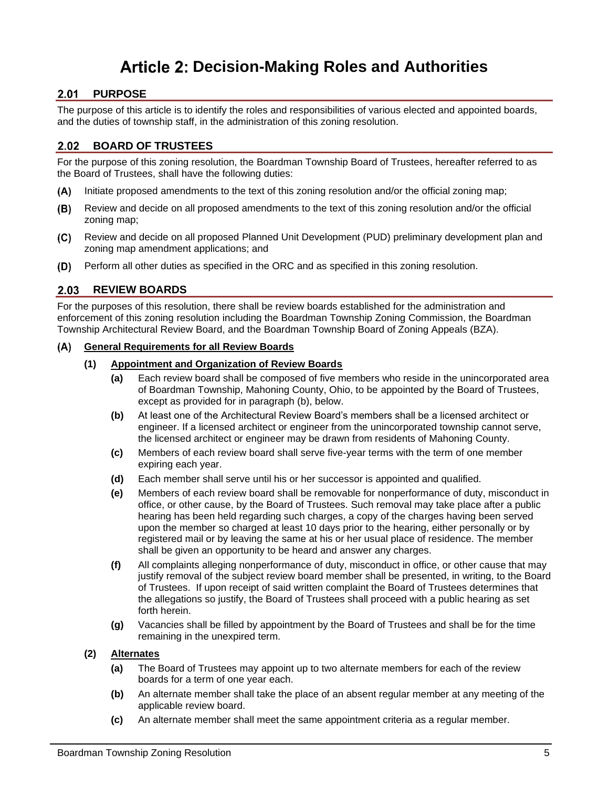# **Decision-Making Roles and Authorities**

# 2.01 PURPOSE

The purpose of this article is to identify the roles and responsibilities of various elected and appointed boards, and the duties of township staff, in the administration of this zoning resolution.

# **BOARD OF TRUSTEES**

For the purpose of this zoning resolution, the Boardman Township Board of Trustees, hereafter referred to as the Board of Trustees, shall have the following duties:

- Initiate proposed amendments to the text of this zoning resolution and/or the official zoning map;  $(A)$
- Review and decide on all proposed amendments to the text of this zoning resolution and/or the official  $(B)$ zoning map;
- $(C)$ Review and decide on all proposed Planned Unit Development (PUD) preliminary development plan and zoning map amendment applications; and
- Perform all other duties as specified in the ORC and as specified in this zoning resolution.  $(D)$

# 2.03 REVIEW BOARDS

For the purposes of this resolution, there shall be review boards established for the administration and enforcement of this zoning resolution including the Boardman Township Zoning Commission, the Boardman Township Architectural Review Board, and the Boardman Township Board of Zoning Appeals (BZA).

#### $(A)$ **General Requirements for all Review Boards**

#### **(1) Appointment and Organization of Review Boards**

- **(a)** Each review board shall be composed of five members who reside in the unincorporated area of Boardman Township, Mahoning County, Ohio, to be appointed by the Board of Trustees, except as provided for in paragraph [\(b\),](#page-0-0) below.
- <span id="page-0-0"></span>**(b)** At least one of the Architectural Review Board's members shall be a licensed architect or engineer. If a licensed architect or engineer from the unincorporated township cannot serve, the licensed architect or engineer may be drawn from residents of Mahoning County.
- **(c)** Members of each review board shall serve five-year terms with the term of one member expiring each year.
- **(d)** Each member shall serve until his or her successor is appointed and qualified.
- **(e)** Members of each review board shall be removable for nonperformance of duty, misconduct in office, or other cause, by the Board of Trustees. Such removal may take place after a public hearing has been held regarding such charges, a copy of the charges having been served upon the member so charged at least 10 days prior to the hearing, either personally or by registered mail or by leaving the same at his or her usual place of residence. The member shall be given an opportunity to be heard and answer any charges.
- **(f)** All complaints alleging nonperformance of duty, misconduct in office, or other cause that may justify removal of the subject review board member shall be presented, in writing, to the Board of Trustees. If upon receipt of said written complaint the Board of Trustees determines that the allegations so justify, the Board of Trustees shall proceed with a public hearing as set forth herein.
- **(g)** Vacancies shall be filled by appointment by the Board of Trustees and shall be for the time remaining in the unexpired term.
- **(2) Alternates**
	- **(a)** The Board of Trustees may appoint up to two alternate members for each of the review boards for a term of one year each.
	- **(b)** An alternate member shall take the place of an absent regular member at any meeting of the applicable review board.
	- **(c)** An alternate member shall meet the same appointment criteria as a regular member.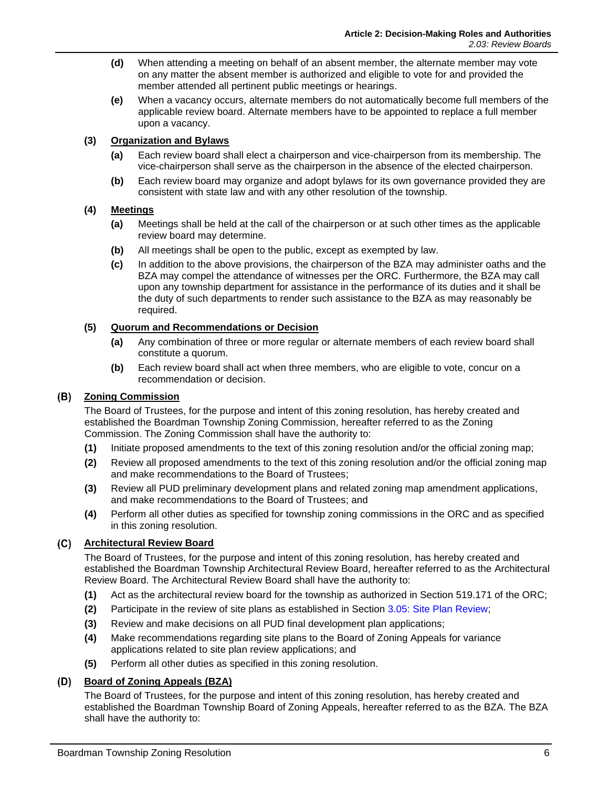- **(d)** When attending a meeting on behalf of an absent member, the alternate member may vote on any matter the absent member is authorized and eligible to vote for and provided the member attended all pertinent public meetings or hearings.
- **(e)** When a vacancy occurs, alternate members do not automatically become full members of the applicable review board. Alternate members have to be appointed to replace a full member upon a vacancy.

#### **(3) Organization and Bylaws**

- **(a)** Each review board shall elect a chairperson and vice-chairperson from its membership. The vice-chairperson shall serve as the chairperson in the absence of the elected chairperson.
- **(b)** Each review board may organize and adopt bylaws for its own governance provided they are consistent with state law and with any other resolution of the township.

#### **(4) Meetings**

- **(a)** Meetings shall be held at the call of the chairperson or at such other times as the applicable review board may determine.
- **(b)** All meetings shall be open to the public, except as exempted by law.
- **(c)** In addition to the above provisions, the chairperson of the BZA may administer oaths and the BZA may compel the attendance of witnesses per the ORC. Furthermore, the BZA may call upon any township department for assistance in the performance of its duties and it shall be the duty of such departments to render such assistance to the BZA as may reasonably be required.

#### **(5) Quorum and Recommendations or Decision**

- **(a)** Any combination of three or more regular or alternate members of each review board shall constitute a quorum.
- **(b)** Each review board shall act when three members, who are eligible to vote, concur on a recommendation or decision.

#### **Zoning Commission**

The Board of Trustees, for the purpose and intent of this zoning resolution, has hereby created and established the Boardman Township Zoning Commission, hereafter referred to as the Zoning Commission. The Zoning Commission shall have the authority to:

- **(1)** Initiate proposed amendments to the text of this zoning resolution and/or the official zoning map;
- **(2)** Review all proposed amendments to the text of this zoning resolution and/or the official zoning map and make recommendations to the Board of Trustees;
- **(3)** Review all PUD preliminary development plans and related zoning map amendment applications, and make recommendations to the Board of Trustees; and
- **(4)** Perform all other duties as specified for township zoning commissions in the ORC and as specified in this zoning resolution.

#### **Architectural Review Board**

The Board of Trustees, for the purpose and intent of this zoning resolution, has hereby created and established the Boardman Township Architectural Review Board, hereafter referred to as the Architectural Review Board. The Architectural Review Board shall have the authority to:

- **(1)** Act as the architectural review board for the township as authorized in Section 519.171 of the ORC;
- **(2)** Participate in the review of site plans as established in Section 3.05: Site Plan Review;
- **(3)** Review and make decisions on all PUD final development plan applications;
- **(4)** Make recommendations regarding site plans to the Board of Zoning Appeals for variance applications related to site plan review applications; and
- **(5)** Perform all other duties as specified in this zoning resolution.

#### **Board of Zoning Appeals (BZA)**

The Board of Trustees, for the purpose and intent of this zoning resolution, has hereby created and established the Boardman Township Board of Zoning Appeals, hereafter referred to as the BZA. The BZA shall have the authority to: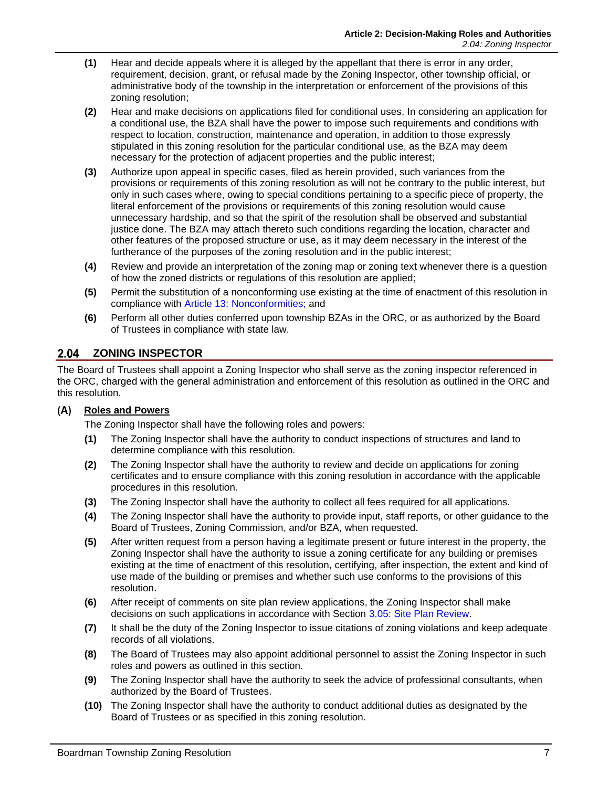- **(1)** Hear and decide appeals where it is alleged by the appellant that there is error in any order, requirement, decision, grant, or refusal made by the Zoning Inspector, other township official, or administrative body of the township in the interpretation or enforcement of the provisions of this zoning resolution;
- **(2)** Hear and make decisions on applications filed for conditional uses. In considering an application for a conditional use, the BZA shall have the power to impose such requirements and conditions with respect to location, construction, maintenance and operation, in addition to those expressly stipulated in this zoning resolution for the particular conditional use, as the BZA may deem necessary for the protection of adjacent properties and the public interest;
- **(3)** Authorize upon appeal in specific cases, filed as herein provided, such variances from the provisions or requirements of this zoning resolution as will not be contrary to the public interest, but only in such cases where, owing to special conditions pertaining to a specific piece of property, the literal enforcement of the provisions or requirements of this zoning resolution would cause unnecessary hardship, and so that the spirit of the resolution shall be observed and substantial justice done. The BZA may attach thereto such conditions regarding the location, character and other features of the proposed structure or use, as it may deem necessary in the interest of the furtherance of the purposes of the zoning resolution and in the public interest;
- **(4)** Review and provide an interpretation of the zoning map or zoning text whenever there is a question of how the zoned districts or regulations of this resolution are applied;
- **(5)** Permit the substitution of a nonconforming use existing at the time of enactment of this resolution in compliance with Article 13: Nonconformities; and
- **(6)** Perform all other duties conferred upon township BZAs in the ORC, or as authorized by the Board of Trustees in compliance with state law.

# 2.04 ZONING INSPECTOR

The Board of Trustees shall appoint a Zoning Inspector who shall serve as the zoning inspector referenced in the ORC, charged with the general administration and enforcement of this resolution as outlined in the ORC and this resolution.

#### **Roles and Powers**

The Zoning Inspector shall have the following roles and powers:

- **(1)** The Zoning Inspector shall have the authority to conduct inspections of structures and land to determine compliance with this resolution.
- **(2)** The Zoning Inspector shall have the authority to review and decide on applications for zoning certificates and to ensure compliance with this zoning resolution in accordance with the applicable procedures in this resolution.
- **(3)** The Zoning Inspector shall have the authority to collect all fees required for all applications.
- **(4)** The Zoning Inspector shall have the authority to provide input, staff reports, or other guidance to the Board of Trustees, Zoning Commission, and/or BZA, when requested.
- **(5)** After written request from a person having a legitimate present or future interest in the property, the Zoning Inspector shall have the authority to issue a zoning certificate for any building or premises existing at the time of enactment of this resolution, certifying, after inspection, the extent and kind of use made of the building or premises and whether such use conforms to the provisions of this resolution.
- **(6)** After receipt of comments on site plan review applications, the Zoning Inspector shall make decisions on such applications in accordance with Section 3.05: Site Plan Review.
- **(7)** It shall be the duty of the Zoning Inspector to issue citations of zoning violations and keep adequate records of all violations.
- **(8)** The Board of Trustees may also appoint additional personnel to assist the Zoning Inspector in such roles and powers as outlined in this section.
- **(9)** The Zoning Inspector shall have the authority to seek the advice of professional consultants, when authorized by the Board of Trustees.
- **(10)** The Zoning Inspector shall have the authority to conduct additional duties as designated by the Board of Trustees or as specified in this zoning resolution.